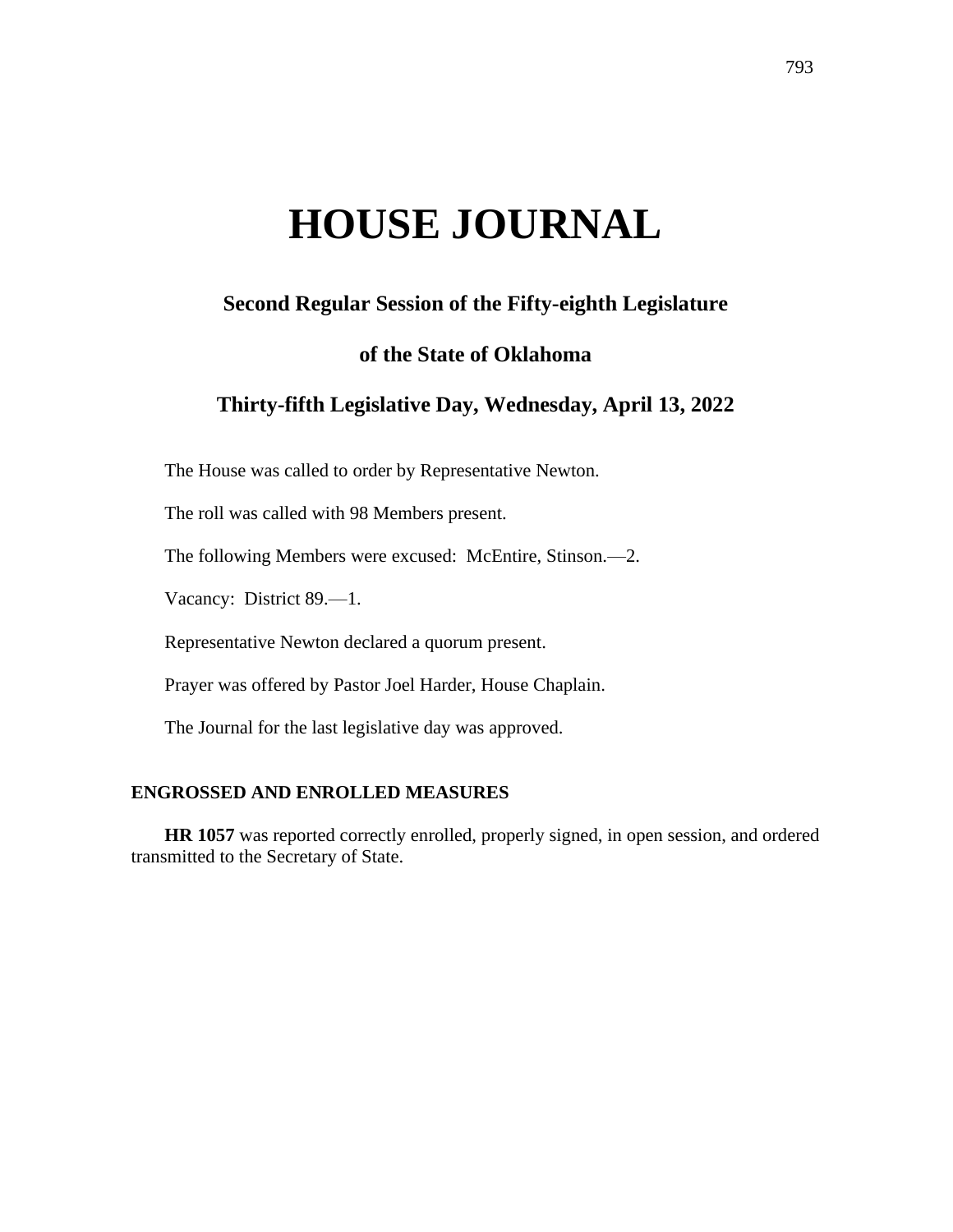# **HOUSE JOURNAL**

# **Second Regular Session of the Fifty-eighth Legislature**

## **of the State of Oklahoma**

# **Thirty-fifth Legislative Day, Wednesday, April 13, 2022**

The House was called to order by Representative Newton.

The roll was called with 98 Members present.

The following Members were excused: McEntire, Stinson.—2.

Vacancy: District 89.—1.

Representative Newton declared a quorum present.

Prayer was offered by Pastor Joel Harder, House Chaplain.

The Journal for the last legislative day was approved.

## **ENGROSSED AND ENROLLED MEASURES**

**HR 1057** was reported correctly enrolled, properly signed, in open session, and ordered transmitted to the Secretary of State.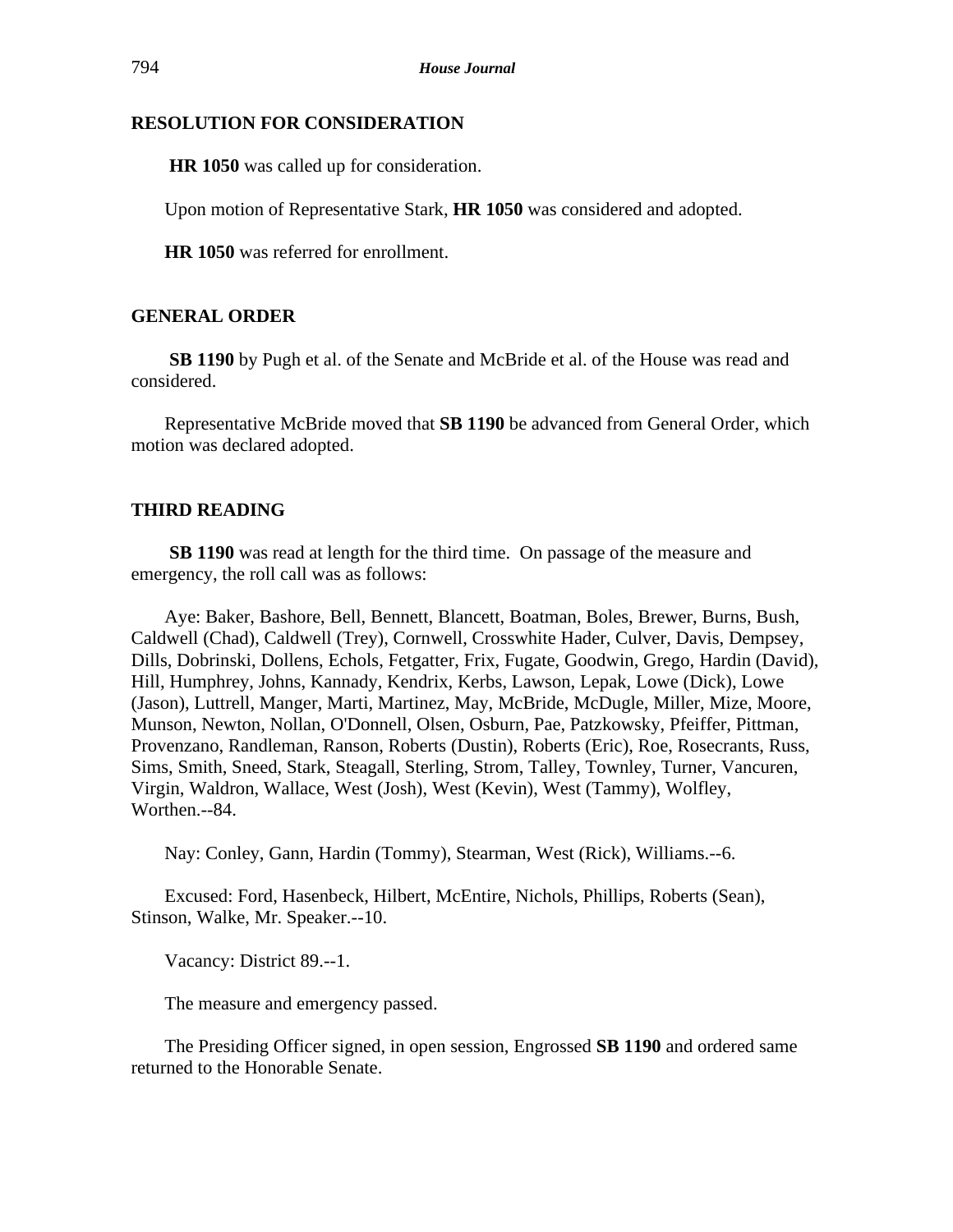## **RESOLUTION FOR CONSIDERATION**

**HR 1050** was called up for consideration.

Upon motion of Representative Stark, **HR 1050** was considered and adopted.

**HR 1050** was referred for enrollment.

## **GENERAL ORDER**

**SB 1190** by Pugh et al. of the Senate and McBride et al. of the House was read and considered.

Representative McBride moved that **SB 1190** be advanced from General Order, which motion was declared adopted.

## **THIRD READING**

**SB 1190** was read at length for the third time. On passage of the measure and emergency, the roll call was as follows:

Aye: Baker, Bashore, Bell, Bennett, Blancett, Boatman, Boles, Brewer, Burns, Bush, Caldwell (Chad), Caldwell (Trey), Cornwell, Crosswhite Hader, Culver, Davis, Dempsey, Dills, Dobrinski, Dollens, Echols, Fetgatter, Frix, Fugate, Goodwin, Grego, Hardin (David), Hill, Humphrey, Johns, Kannady, Kendrix, Kerbs, Lawson, Lepak, Lowe (Dick), Lowe (Jason), Luttrell, Manger, Marti, Martinez, May, McBride, McDugle, Miller, Mize, Moore, Munson, Newton, Nollan, O'Donnell, Olsen, Osburn, Pae, Patzkowsky, Pfeiffer, Pittman, Provenzano, Randleman, Ranson, Roberts (Dustin), Roberts (Eric), Roe, Rosecrants, Russ, Sims, Smith, Sneed, Stark, Steagall, Sterling, Strom, Talley, Townley, Turner, Vancuren, Virgin, Waldron, Wallace, West (Josh), West (Kevin), West (Tammy), Wolfley, Worthen.--84.

Nay: Conley, Gann, Hardin (Tommy), Stearman, West (Rick), Williams.--6.

Excused: Ford, Hasenbeck, Hilbert, McEntire, Nichols, Phillips, Roberts (Sean), Stinson, Walke, Mr. Speaker.--10.

Vacancy: District 89.--1.

The measure and emergency passed.

The Presiding Officer signed, in open session, Engrossed **SB 1190** and ordered same returned to the Honorable Senate.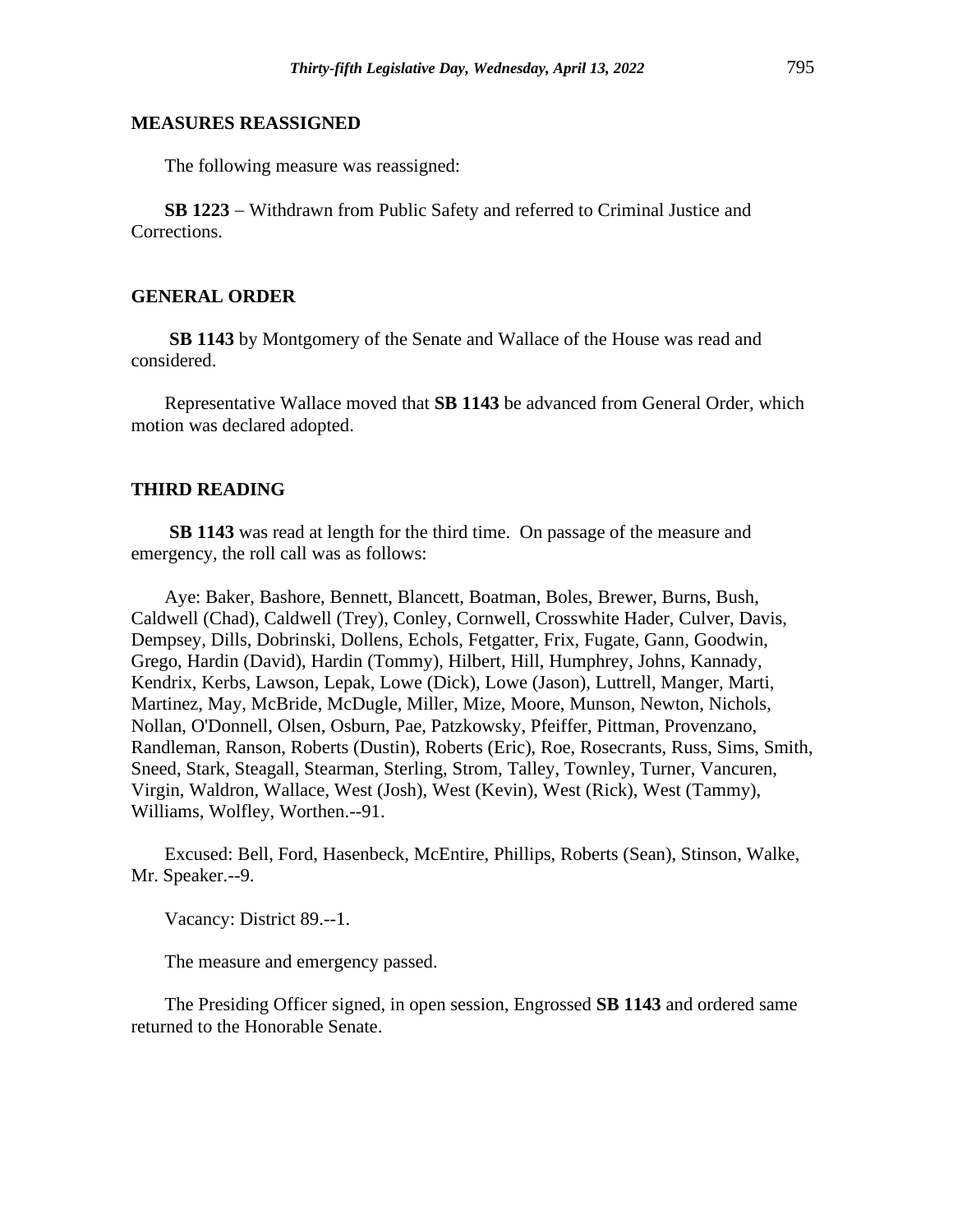#### **MEASURES REASSIGNED**

The following measure was reassigned:

**SB 1223** − Withdrawn from Public Safety and referred to Criminal Justice and Corrections.

#### **GENERAL ORDER**

**SB 1143** by Montgomery of the Senate and Wallace of the House was read and considered.

Representative Wallace moved that **SB 1143** be advanced from General Order, which motion was declared adopted.

#### **THIRD READING**

**SB 1143** was read at length for the third time. On passage of the measure and emergency, the roll call was as follows:

Aye: Baker, Bashore, Bennett, Blancett, Boatman, Boles, Brewer, Burns, Bush, Caldwell (Chad), Caldwell (Trey), Conley, Cornwell, Crosswhite Hader, Culver, Davis, Dempsey, Dills, Dobrinski, Dollens, Echols, Fetgatter, Frix, Fugate, Gann, Goodwin, Grego, Hardin (David), Hardin (Tommy), Hilbert, Hill, Humphrey, Johns, Kannady, Kendrix, Kerbs, Lawson, Lepak, Lowe (Dick), Lowe (Jason), Luttrell, Manger, Marti, Martinez, May, McBride, McDugle, Miller, Mize, Moore, Munson, Newton, Nichols, Nollan, O'Donnell, Olsen, Osburn, Pae, Patzkowsky, Pfeiffer, Pittman, Provenzano, Randleman, Ranson, Roberts (Dustin), Roberts (Eric), Roe, Rosecrants, Russ, Sims, Smith, Sneed, Stark, Steagall, Stearman, Sterling, Strom, Talley, Townley, Turner, Vancuren, Virgin, Waldron, Wallace, West (Josh), West (Kevin), West (Rick), West (Tammy), Williams, Wolfley, Worthen.--91.

Excused: Bell, Ford, Hasenbeck, McEntire, Phillips, Roberts (Sean), Stinson, Walke, Mr. Speaker.--9.

Vacancy: District 89.--1.

The measure and emergency passed.

The Presiding Officer signed, in open session, Engrossed **SB 1143** and ordered same returned to the Honorable Senate.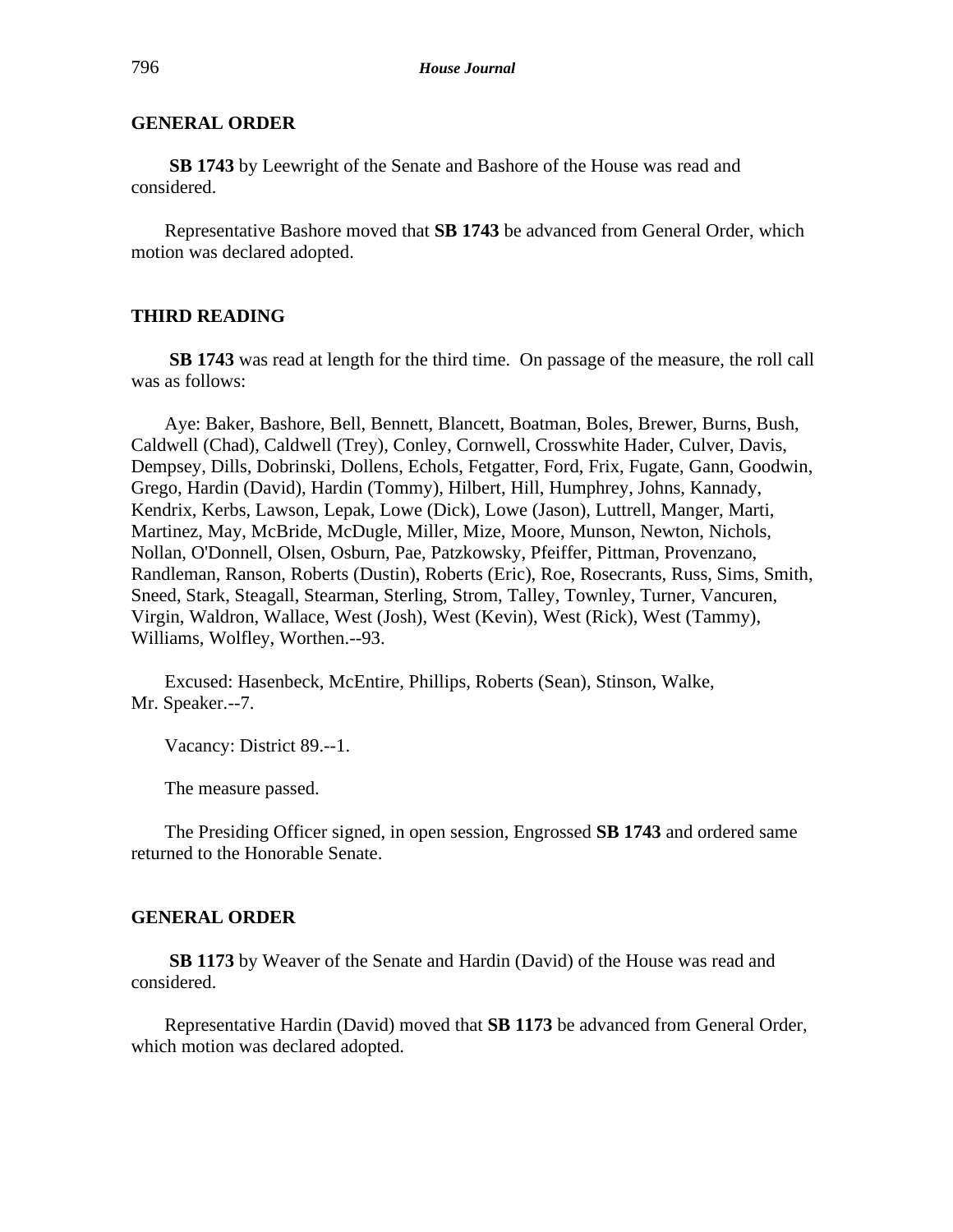## **GENERAL ORDER**

**SB 1743** by Leewright of the Senate and Bashore of the House was read and considered.

Representative Bashore moved that **SB 1743** be advanced from General Order, which motion was declared adopted.

### **THIRD READING**

**SB 1743** was read at length for the third time. On passage of the measure, the roll call was as follows:

Aye: Baker, Bashore, Bell, Bennett, Blancett, Boatman, Boles, Brewer, Burns, Bush, Caldwell (Chad), Caldwell (Trey), Conley, Cornwell, Crosswhite Hader, Culver, Davis, Dempsey, Dills, Dobrinski, Dollens, Echols, Fetgatter, Ford, Frix, Fugate, Gann, Goodwin, Grego, Hardin (David), Hardin (Tommy), Hilbert, Hill, Humphrey, Johns, Kannady, Kendrix, Kerbs, Lawson, Lepak, Lowe (Dick), Lowe (Jason), Luttrell, Manger, Marti, Martinez, May, McBride, McDugle, Miller, Mize, Moore, Munson, Newton, Nichols, Nollan, O'Donnell, Olsen, Osburn, Pae, Patzkowsky, Pfeiffer, Pittman, Provenzano, Randleman, Ranson, Roberts (Dustin), Roberts (Eric), Roe, Rosecrants, Russ, Sims, Smith, Sneed, Stark, Steagall, Stearman, Sterling, Strom, Talley, Townley, Turner, Vancuren, Virgin, Waldron, Wallace, West (Josh), West (Kevin), West (Rick), West (Tammy), Williams, Wolfley, Worthen.--93.

Excused: Hasenbeck, McEntire, Phillips, Roberts (Sean), Stinson, Walke, Mr. Speaker.--7.

Vacancy: District 89.--1.

The measure passed.

The Presiding Officer signed, in open session, Engrossed **SB 1743** and ordered same returned to the Honorable Senate.

#### **GENERAL ORDER**

**SB 1173** by Weaver of the Senate and Hardin (David) of the House was read and considered.

Representative Hardin (David) moved that **SB 1173** be advanced from General Order, which motion was declared adopted.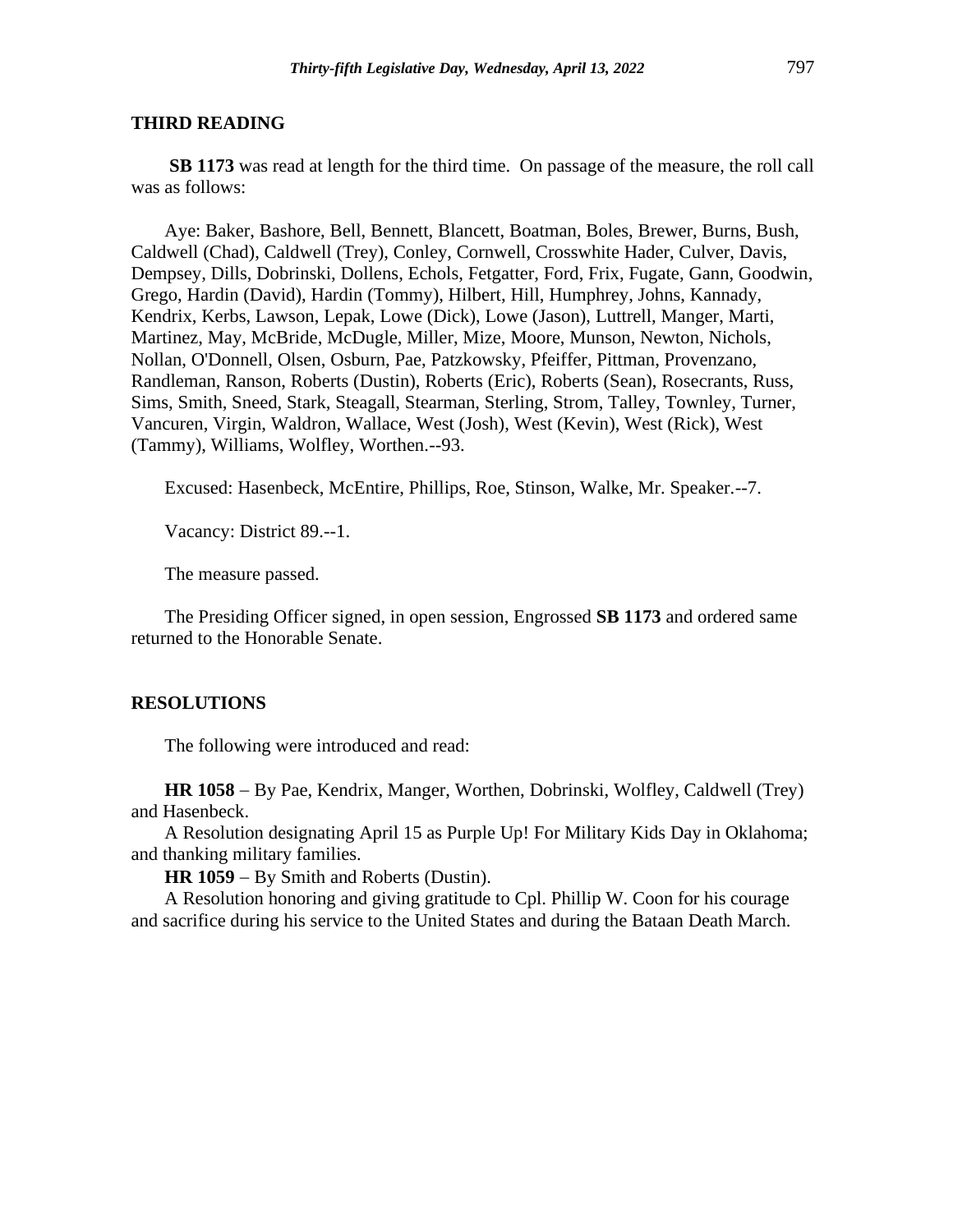#### **THIRD READING**

**SB 1173** was read at length for the third time. On passage of the measure, the roll call was as follows:

Aye: Baker, Bashore, Bell, Bennett, Blancett, Boatman, Boles, Brewer, Burns, Bush, Caldwell (Chad), Caldwell (Trey), Conley, Cornwell, Crosswhite Hader, Culver, Davis, Dempsey, Dills, Dobrinski, Dollens, Echols, Fetgatter, Ford, Frix, Fugate, Gann, Goodwin, Grego, Hardin (David), Hardin (Tommy), Hilbert, Hill, Humphrey, Johns, Kannady, Kendrix, Kerbs, Lawson, Lepak, Lowe (Dick), Lowe (Jason), Luttrell, Manger, Marti, Martinez, May, McBride, McDugle, Miller, Mize, Moore, Munson, Newton, Nichols, Nollan, O'Donnell, Olsen, Osburn, Pae, Patzkowsky, Pfeiffer, Pittman, Provenzano, Randleman, Ranson, Roberts (Dustin), Roberts (Eric), Roberts (Sean), Rosecrants, Russ, Sims, Smith, Sneed, Stark, Steagall, Stearman, Sterling, Strom, Talley, Townley, Turner, Vancuren, Virgin, Waldron, Wallace, West (Josh), West (Kevin), West (Rick), West (Tammy), Williams, Wolfley, Worthen.--93.

Excused: Hasenbeck, McEntire, Phillips, Roe, Stinson, Walke, Mr. Speaker.--7.

Vacancy: District 89.--1.

The measure passed.

The Presiding Officer signed, in open session, Engrossed **SB 1173** and ordered same returned to the Honorable Senate.

#### **RESOLUTIONS**

The following were introduced and read:

**HR 1058** − By Pae, Kendrix, Manger, Worthen, Dobrinski, Wolfley, Caldwell (Trey) and Hasenbeck.

A Resolution designating April 15 as Purple Up! For Military Kids Day in Oklahoma; and thanking military families.

**HR 1059** − By Smith and Roberts (Dustin).

A Resolution honoring and giving gratitude to Cpl. Phillip W. Coon for his courage and sacrifice during his service to the United States and during the Bataan Death March.